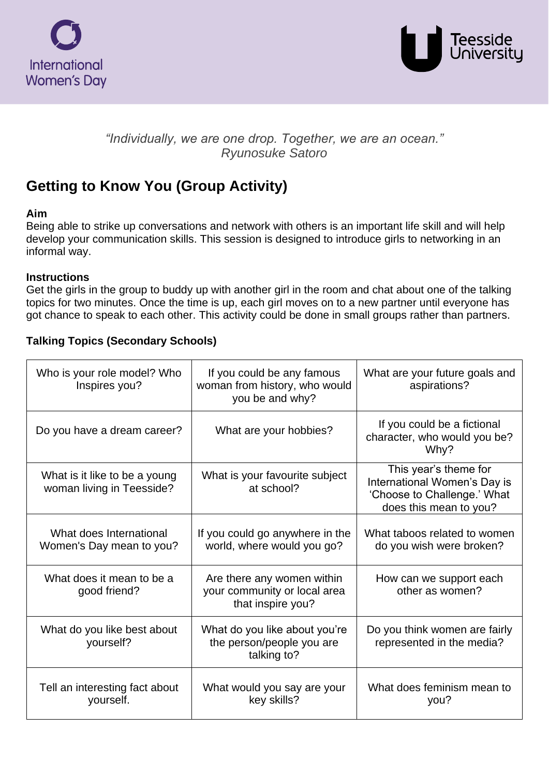



## *"Individually, we are one drop. Together, we are an ocean." Ryunosuke Satoro*

# **Getting to Know You (Group Activity)**

#### **Aim**

Being able to strike up conversations and network with others is an important life skill and will help develop your communication skills. This session is designed to introduce girls to networking in an informal way.

#### **Instructions**

Get the girls in the group to buddy up with another girl in the room and chat about one of the talking topics for two minutes. Once the time is up, each girl moves on to a new partner until everyone has got chance to speak to each other. This activity could be done in small groups rather than partners.

#### **Talking Topics (Secondary Schools)**

| Who is your role model? Who<br>Inspires you?               | If you could be any famous<br>woman from history, who would<br>you be and why?  | What are your future goals and<br>aspirations?                                                                 |
|------------------------------------------------------------|---------------------------------------------------------------------------------|----------------------------------------------------------------------------------------------------------------|
| Do you have a dream career?                                | What are your hobbies?                                                          | If you could be a fictional<br>character, who would you be?<br>Why?                                            |
| What is it like to be a young<br>woman living in Teesside? | What is your favourite subject<br>at school?                                    | This year's theme for<br>International Women's Day is<br>'Choose to Challenge.' What<br>does this mean to you? |
| What does International<br>Women's Day mean to you?        | If you could go anywhere in the<br>world, where would you go?                   | What taboos related to women<br>do you wish were broken?                                                       |
| What does it mean to be a<br>good friend?                  | Are there any women within<br>your community or local area<br>that inspire you? | How can we support each<br>other as women?                                                                     |
| What do you like best about<br>yourself?                   | What do you like about you're<br>the person/people you are<br>talking to?       | Do you think women are fairly<br>represented in the media?                                                     |
| Tell an interesting fact about<br>yourself.                | What would you say are your<br>key skills?                                      | What does feminism mean to<br>you?                                                                             |